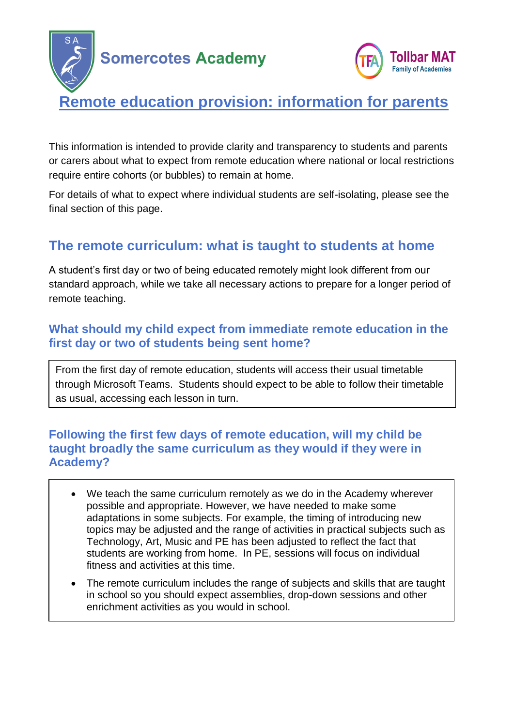



# **Remote education provision: information for parents**

This information is intended to provide clarity and transparency to students and parents or carers about what to expect from remote education where national or local restrictions require entire cohorts (or bubbles) to remain at home.

For details of what to expect where individual students are self-isolating, please see the final section of this page.

## **The remote curriculum: what is taught to students at home**

A student's first day or two of being educated remotely might look different from our standard approach, while we take all necessary actions to prepare for a longer period of remote teaching.

### **What should my child expect from immediate remote education in the first day or two of students being sent home?**

From the first day of remote education, students will access their usual timetable through Microsoft Teams. Students should expect to be able to follow their timetable as usual, accessing each lesson in turn.

### **Following the first few days of remote education, will my child be taught broadly the same curriculum as they would if they were in Academy?**

- We teach the same curriculum remotely as we do in the Academy wherever possible and appropriate. However, we have needed to make some adaptations in some subjects. For example, the timing of introducing new topics may be adjusted and the range of activities in practical subjects such as Technology, Art, Music and PE has been adjusted to reflect the fact that students are working from home. In PE, sessions will focus on individual fitness and activities at this time.
- The remote curriculum includes the range of subjects and skills that are taught in school so you should expect assemblies, drop-down sessions and other enrichment activities as you would in school.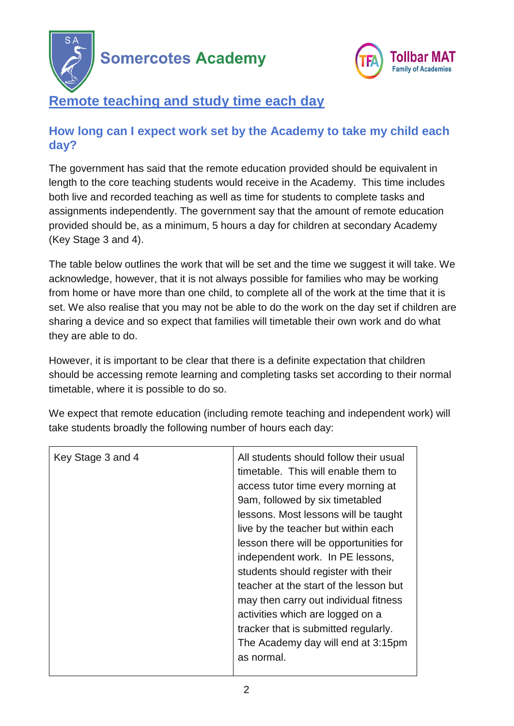



## **Remote teaching and study time each day**

### **How long can I expect work set by the Academy to take my child each day?**

The government has said that the remote education provided should be equivalent in length to the core teaching students would receive in the Academy. This time includes both live and recorded teaching as well as time for students to complete tasks and assignments independently. The government say that the amount of remote education provided should be, as a minimum, 5 hours a day for children at secondary Academy (Key Stage 3 and 4).

The table below outlines the work that will be set and the time we suggest it will take. We acknowledge, however, that it is not always possible for families who may be working from home or have more than one child, to complete all of the work at the time that it is set. We also realise that you may not be able to do the work on the day set if children are sharing a device and so expect that families will timetable their own work and do what they are able to do.

However, it is important to be clear that there is a definite expectation that children should be accessing remote learning and completing tasks set according to their normal timetable, where it is possible to do so.

We expect that remote education (including remote teaching and independent work) will take students broadly the following number of hours each day:

| Key Stage 3 and 4 | All students should follow their usual<br>timetable. This will enable them to<br>access tutor time every morning at<br>9am, followed by six timetabled<br>lessons. Most lessons will be taught<br>live by the teacher but within each<br>lesson there will be opportunities for<br>independent work. In PE lessons,<br>students should register with their<br>teacher at the start of the lesson but<br>may then carry out individual fitness<br>activities which are logged on a<br>tracker that is submitted regularly.<br>The Academy day will end at 3:15pm<br>as normal. |
|-------------------|-------------------------------------------------------------------------------------------------------------------------------------------------------------------------------------------------------------------------------------------------------------------------------------------------------------------------------------------------------------------------------------------------------------------------------------------------------------------------------------------------------------------------------------------------------------------------------|
|                   |                                                                                                                                                                                                                                                                                                                                                                                                                                                                                                                                                                               |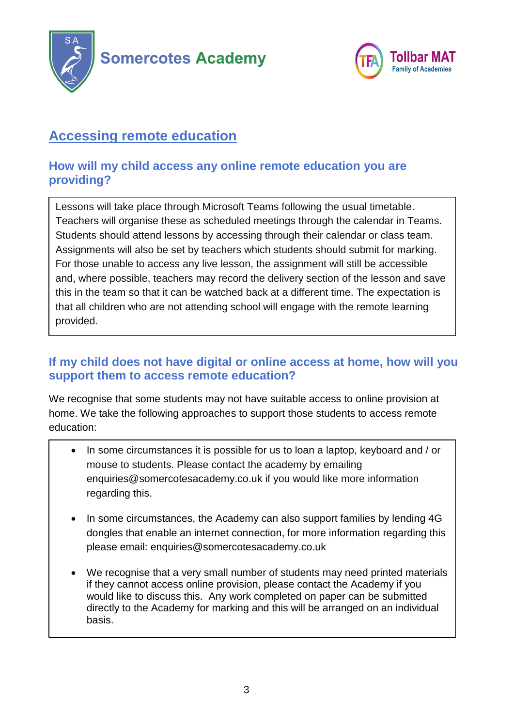



## **Accessing remote education**

## **How will my child access any online remote education you are providing?**

Lessons will take place through Microsoft Teams following the usual timetable. Teachers will organise these as scheduled meetings through the calendar in Teams. Students should attend lessons by accessing through their calendar or class team. Assignments will also be set by teachers which students should submit for marking. For those unable to access any live lesson, the assignment will still be accessible and, where possible, teachers may record the delivery section of the lesson and save this in the team so that it can be watched back at a different time. The expectation is that all children who are not attending school will engage with the remote learning provided.

## **If my child does not have digital or online access at home, how will you support them to access remote education?**

We recognise that some students may not have suitable access to online provision at home. We take the following approaches to support those students to access remote education:

- In some circumstances it is possible for us to loan a laptop, keyboard and / or mouse to students. Please contact the academy by emailing enquiries@somercotesacademy.co.uk if you would like more information regarding this.
- In some circumstances, the Academy can also support families by lending 4G dongles that enable an internet connection, for more information regarding this please email: enquiries@somercotesacademy.co.uk
- We recognise that a very small number of students may need printed materials if they cannot access online provision, please contact the Academy if you would like to discuss this. Any work completed on paper can be submitted directly to the Academy for marking and this will be arranged on an individual basis.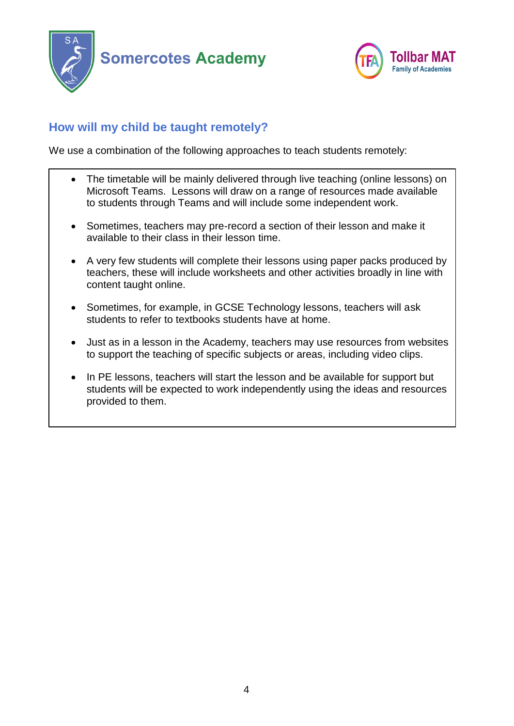



## **How will my child be taught remotely?**

We use a combination of the following approaches to teach students remotely:

- The timetable will be mainly delivered through live teaching (online lessons) on Microsoft Teams. Lessons will draw on a range of resources made available to students through Teams and will include some independent work.
- Sometimes, teachers may pre-record a section of their lesson and make it available to their class in their lesson time.
- A very few students will complete their lessons using paper packs produced by teachers, these will include worksheets and other activities broadly in line with content taught online.
- Sometimes, for example, in GCSE Technology lessons, teachers will ask students to refer to textbooks students have at home.
- Just as in a lesson in the Academy, teachers may use resources from websites to support the teaching of specific subjects or areas, including video clips.
- In PE lessons, teachers will start the lesson and be available for support but students will be expected to work independently using the ideas and resources provided to them.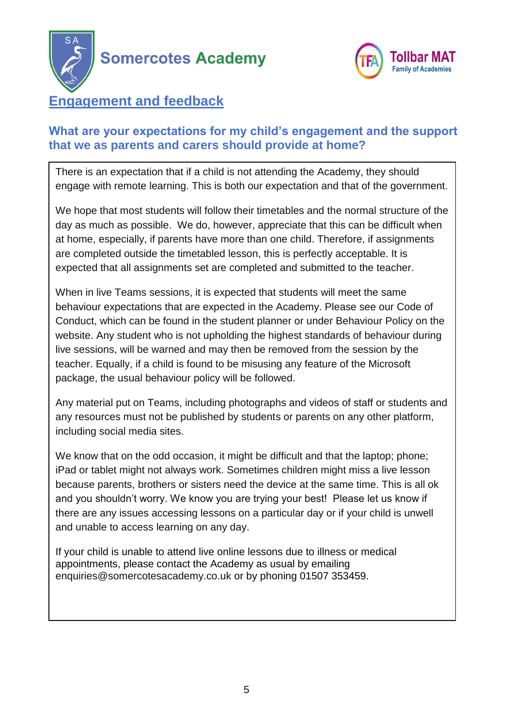



## **Engagement and feedback**

## **What are your expectations for my child's engagement and the support that we as parents and carers should provide at home?**

There is an expectation that if a child is not attending the Academy, they should engage with remote learning. This is both our expectation and that of the government.

We hope that most students will follow their timetables and the normal structure of the day as much as possible. We do, however, appreciate that this can be difficult when at home, especially, if parents have more than one child. Therefore, if assignments are completed outside the timetabled lesson, this is perfectly acceptable. It is expected that all assignments set are completed and submitted to the teacher.

When in live Teams sessions, it is expected that students will meet the same behaviour expectations that are expected in the Academy. Please see our Code of Conduct, which can be found in the student planner or under Behaviour Policy on the website. Any student who is not upholding the highest standards of behaviour during live sessions, will be warned and may then be removed from the session by the teacher. Equally, if a child is found to be misusing any feature of the Microsoft package, the usual behaviour policy will be followed.

Any material put on Teams, including photographs and videos of staff or students and any resources must not be published by students or parents on any other platform, including social media sites.

We know that on the odd occasion, it might be difficult and that the laptop; phone; iPad or tablet might not always work. Sometimes children might miss a live lesson because parents, brothers or sisters need the device at the same time. This is all ok and you shouldn't worry. We know you are trying your best! Please let us know if there are any issues accessing lessons on a particular day or if your child is unwell and unable to access learning on any day.

If your child is unable to attend live online lessons due to illness or medical appointments, please contact the Academy as usual by emailing [enquiries@somercotesacademy.co.uk](mailto:enquiries@somercotesacademy.co.uk) or by phoning 01507 353459.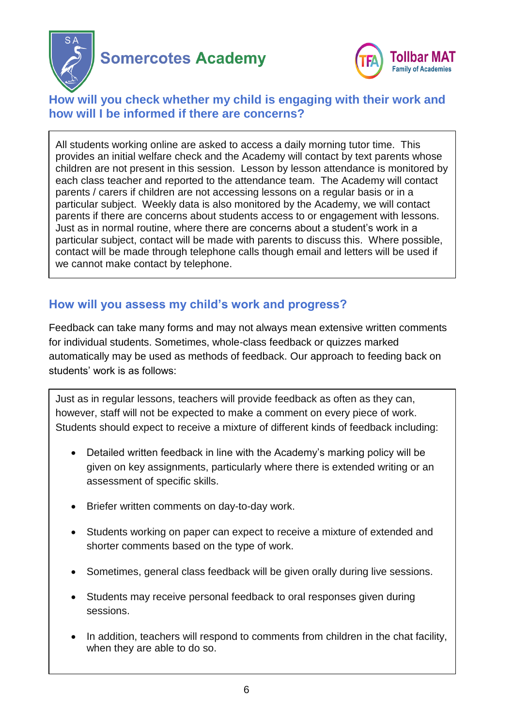

 $\overline{a}$ 



### **How will you check whether my child is engaging with their work and how will I be informed if there are concerns?**

All students working online are asked to access a daily morning tutor time. This provides an initial welfare check and the Academy will contact by text parents whose children are not present in this session. Lesson by lesson attendance is monitored by each class teacher and reported to the attendance team. The Academy will contact parents / carers if children are not accessing lessons on a regular basis or in a particular subject. Weekly data is also monitored by the Academy, we will contact parents if there are concerns about students access to or engagement with lessons. Just as in normal routine, where there are concerns about a student's work in a particular subject, contact will be made with parents to discuss this. Where possible, contact will be made through telephone calls though email and letters will be used if we cannot make contact by telephone.

## **How will you assess my child's work and progress?**

Feedback can take many forms and may not always mean extensive written comments for individual students. Sometimes, whole-class feedback or quizzes marked automatically may be used as methods of feedback. Our approach to feeding back on students' work is as follows:

Just as in regular lessons, teachers will provide feedback as often as they can, however, staff will not be expected to make a comment on every piece of work. Students should expect to receive a mixture of different kinds of feedback including:

- Detailed written feedback in line with the Academy's marking policy will be given on key assignments, particularly where there is extended writing or an assessment of specific skills.
- Briefer written comments on day-to-day work.
- Students working on paper can expect to receive a mixture of extended and shorter comments based on the type of work.
- Sometimes, general class feedback will be given orally during live sessions.
- Students may receive personal feedback to oral responses given during sessions.
- In addition, teachers will respond to comments from children in the chat facility, when they are able to do so.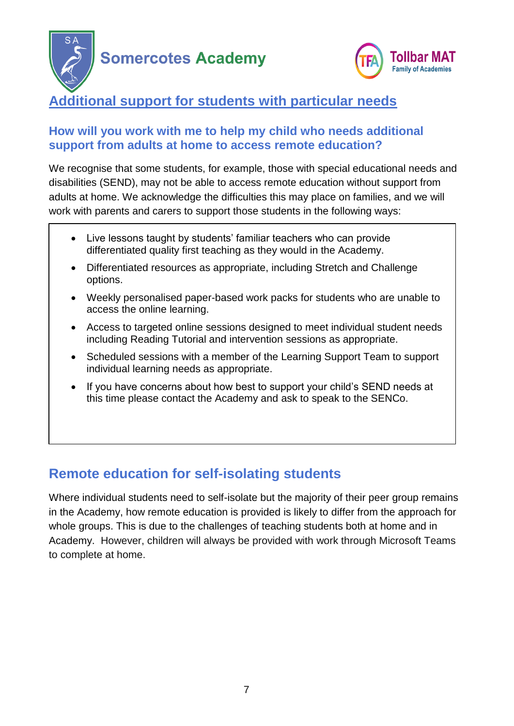



# **Additional support for students with particular needs**

### **How will you work with me to help my child who needs additional support from adults at home to access remote education?**

We recognise that some students, for example, those with special educational needs and disabilities (SEND), may not be able to access remote education without support from adults at home. We acknowledge the difficulties this may place on families, and we will work with parents and carers to support those students in the following ways:

- Live lessons taught by students' familiar teachers who can provide differentiated quality first teaching as they would in the Academy.
- Differentiated resources as appropriate, including Stretch and Challenge options.
- Weekly personalised paper-based work packs for students who are unable to access the online learning.
- Access to targeted online sessions designed to meet individual student needs including Reading Tutorial and intervention sessions as appropriate.
- Scheduled sessions with a member of the Learning Support Team to support individual learning needs as appropriate.
- If you have concerns about how best to support your child's SEND needs at this time please contact the Academy and ask to speak to the SENCo.

## **Remote education for self-isolating students**

Where individual students need to self-isolate but the majority of their peer group remains in the Academy, how remote education is provided is likely to differ from the approach for whole groups. This is due to the challenges of teaching students both at home and in Academy. However, children will always be provided with work through Microsoft Teams to complete at home.